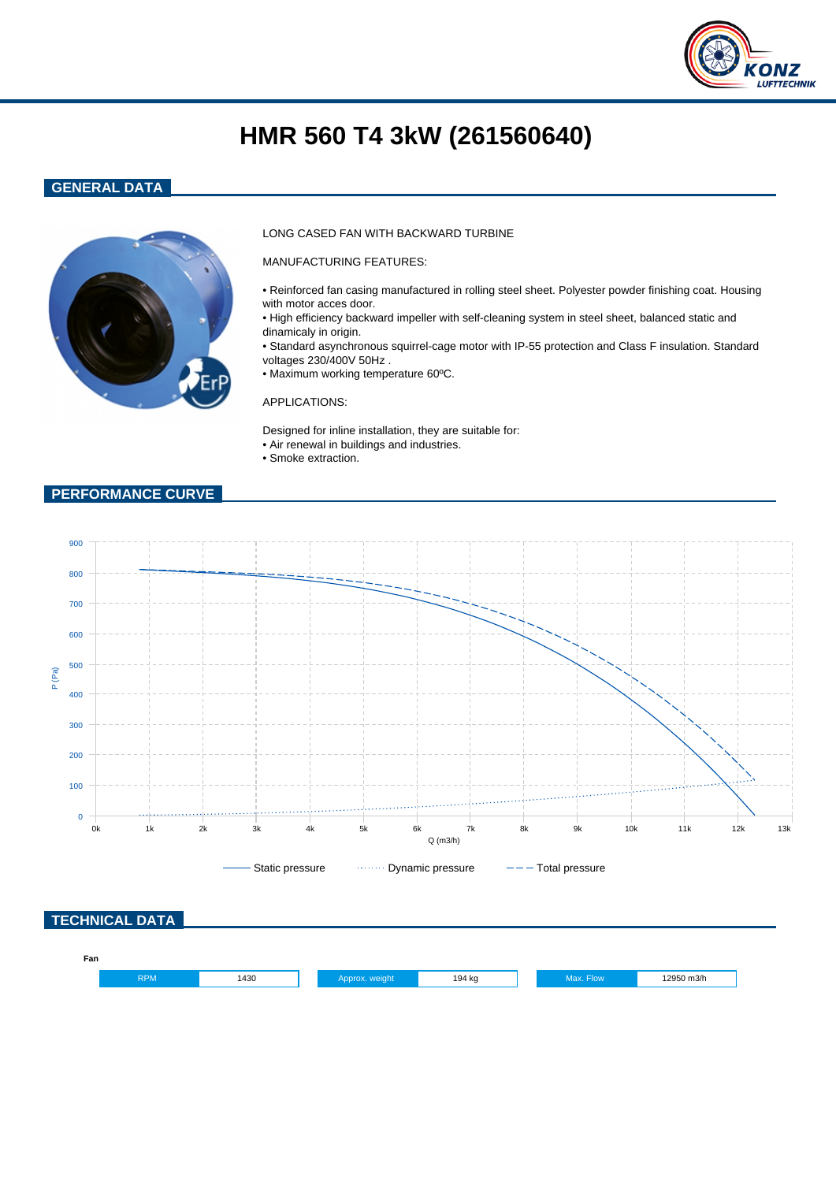

# **HMR 560 T4 3kW (261560640)**

## **GENERAL DATA**



### LONG CASED FAN WITH BACKWARD TURBINE

MANUFACTURING FEATURES:

- Reinforced fan casing manufactured in rolling steel sheet. Polyester powder finishing coat. Housing with motor acces door.
- High efficiency backward impeller with self-cleaning system in steel sheet, balanced static and dinamicaly in origin.
- Standard asynchronous squirrel-cage motor with IP-55 protection and Class F insulation. Standard voltages 230/400V 50Hz .
- Maximum working temperature 60ºC.

#### APPLICATIONS:

Designed for inline installation, they are suitable for: • Air renewal in buildings and industries.

• Smoke extraction.

## **PERFORMANCE CURVE**

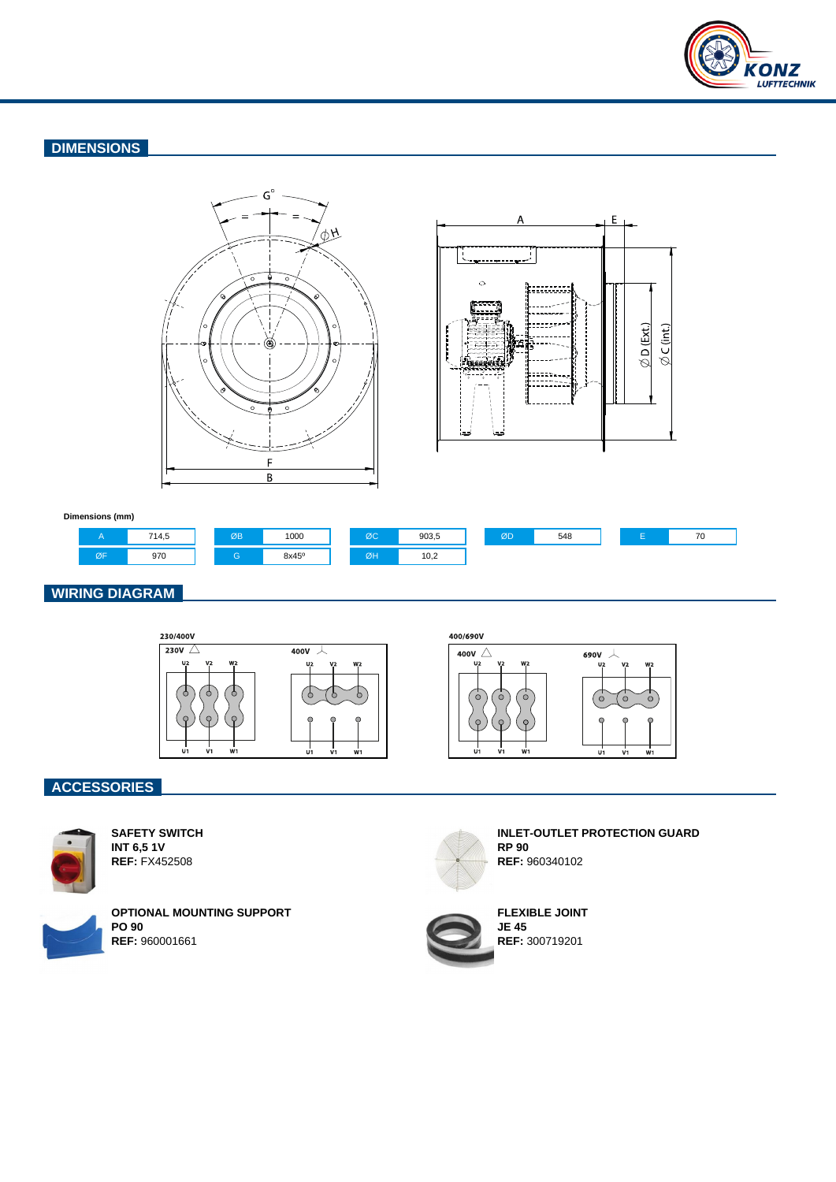

# **DIMENSIONS**





#### **Dimensions (mm)**



## **WIRING DIAGRAM**



## **ACCESSORIES**



**SAFETY SWITCH INT 6,5 1V REF:** FX452508



**OPTIONAL MOUNTING SUPPORT PO 90 REF:** 960001661



**INLET-OUTLET PROTECTION GUARD RP 90 REF:** 960340102

w

 $\epsilon$  $\epsilon$ 



**FLEXIBLE JOINT JE 45 REF:** 300719201